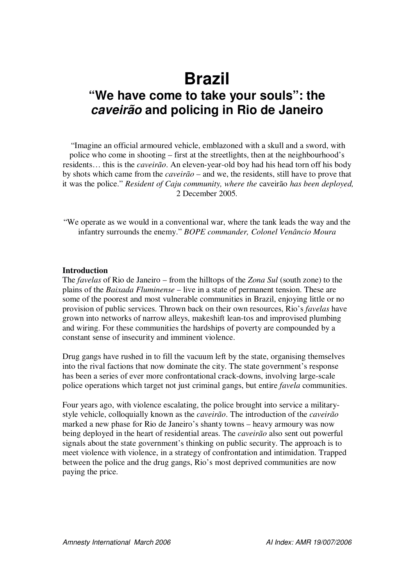# **Brazil "We have come to take your souls": the** *caveirão* **and policing in Rio de Janeiro**

"Imagine an official armoured vehicle, emblazoned with a skull and a sword, with police who come in shooting – first at the streetlights, then at the neighbourhood's residents… this is the *caveirão*. An eleven-year-old boy had his head torn off his body by shots which came from the *caveirão* – and we, the residents, still have to prove that it was the police." *Resident of Caju community, where the* caveirão *has been deployed,* 2 December 2005*.*

"We operate as we would in a conventional war, where the tank leads the way and the infantry surrounds the enemy." *BOPE commander, Colonel Venâncio Moura*

#### **Introduction**

The *favelas* of Rio de Janeiro – from the hilltops of the *Zona Sul* (south zone) to the plains of the *Baixada Fluminense* – live in a state of permanent tension. These are some of the poorest and most vulnerable communities in Brazil, enjoying little or no provision of public services. Thrown back on their own resources, Rio's *favelas* have grown into networks of narrow alleys, makeshift lean-tos and improvised plumbing and wiring. For these communities the hardships of poverty are compounded by a constant sense of insecurity and imminent violence.

Drug gangs have rushed in to fill the vacuum left by the state, organising themselves into the rival factions that now dominate the city. The state government's response has been a series of ever more confrontational crack-downs, involving large-scale police operations which target not just criminal gangs, but entire *favela* communities.

Four years ago, with violence escalating, the police brought into service a militarystyle vehicle, colloquially known as the *caveirão*. The introduction of the *caveirão* marked a new phase for Rio de Janeiro's shanty towns – heavy armoury was now being deployed in the heart of residential areas. The *caveirão* also sent out powerful signals about the state government's thinking on public security. The approach is to meet violence with violence, in a strategy of confrontation and intimidation. Trapped between the police and the drug gangs, Rio's most deprived communities are now paying the price.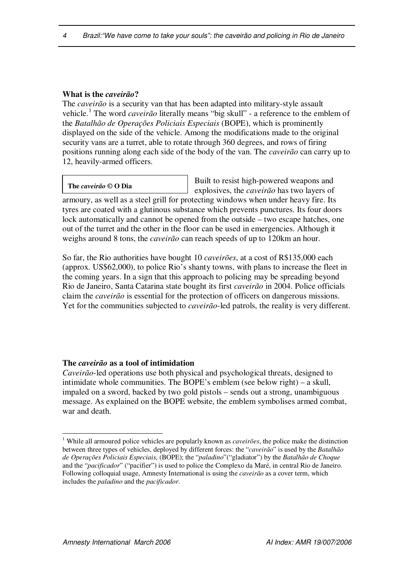## **What is the** *caveirão***?**

The *caveirão* is a security van that has been adapted into military-style assault vehicle. 1 The word *caveirão* literally means "big skull" - a reference to the emblem of the *Batalhão de Operações Policiais Especiais* (BOPE), which is prominently displayed on the side of the vehicle. Among the modifications made to the original security vans are a turret, able to rotate through 360 degrees, and rows of firing positions running along each side of the body of the van. The *caveirão* can carry up to 12, heavily-armed officers.

**The** *caveirão* **© O Dia**

Built to resist high-powered weapons and explosives, the *caveirão* has two layers of

armoury, as well as a steel grill for protecting windows when under heavy fire. Its tyres are coated with a glutinous substance which prevents punctures. Its four doors lock automatically and cannot be opened from the outside – two escape hatches, one out of the turret and the other in the floor can be used in emergencies. Although it weighs around 8 tons, the *caveirão* can reach speeds of up to 120km an hour.

So far, the Rio authorities have bought 10 *caveirões*, at a cost of R\$135,000 each (approx. US\$62,000), to police Rio's shanty towns, with plans to increase the fleet in the coming years. In a sign that this approach to policing may be spreading beyond Rio de Janeiro, Santa Catarina state bought its first *caveirão* in 2004. Police officials claim the *caveirão* is essential for the protection of officers on dangerous missions. Yet for the communities subjected to *caveirão*-led patrols, the reality is very different.

## **The** *caveirão* **as a tool of intimidation**

*Caveirão*-led operations use both physical and psychological threats, designed to intimidate whole communities. The BOPE's emblem (see below right) – a skull, impaled on a sword, backed by two gold pistols – sends out a strong, unambiguous message. As explained on the BOPE website, the emblem symbolises armed combat, war and death.

<sup>1</sup> While all armoured police vehicles are popularly known as *caveirões*, the police make the distinction between three types of vehicles, deployed by different forces: the "*caveirão*" is used by the *Batalhão de Operações Policiais Especiais*, (BOPE); the "*paladino*"("gladiator") by the *Batalhão de Choque* and the "*pacificador*" ("pacifier") is used to police the Complexo da Maré, in central Rio de Janeiro. Following colloquial usage, Amnesty International is using the *caveirão* as a cover term, which includes the *paladino* and the *pacificador*.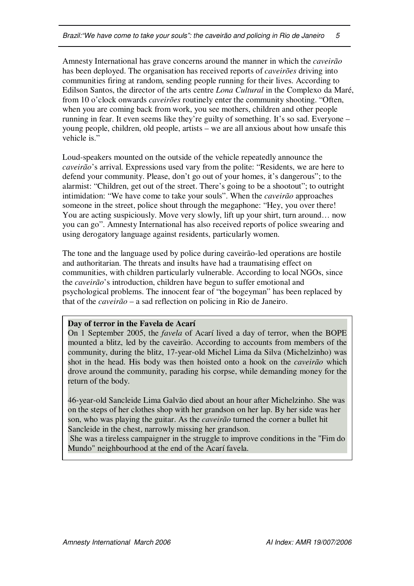Amnesty International has grave concerns around the manner in which the *caveirão* has been deployed. The organisation has received reports of *caveirões* driving into communities firing at random, sending people running for their lives. According to Edilson Santos, the director of the arts centre *Lona Cultural* in the Complexo da Maré, from 10 o'clock onwards *caveirões* routinely enter the community shooting. "Often, when you are coming back from work, you see mothers, children and other people running in fear. It even seems like they're guilty of something. It's so sad. Everyone – young people, children, old people, artists – we are all anxious about how unsafe this vehicle is."

Loud-speakers mounted on the outside of the vehicle repeatedly announce the *caveirão*'s arrival. Expressions used vary from the polite: "Residents, we are here to defend your community. Please, don't go out of your homes, it's dangerous"; to the alarmist: "Children, get out of the street. There's going to be a shootout"; to outright intimidation: "We have come to take your souls". When the *caveirão* approaches someone in the street, police shout through the megaphone: "Hey, you over there! You are acting suspiciously. Move very slowly, lift up your shirt, turn around… now you can go". Amnesty International has also received reports of police swearing and using derogatory language against residents, particularly women.

The tone and the language used by police during caveirão-led operations are hostile and authoritarian. The threats and insults have had a traumatising effect on communities, with children particularly vulnerable. According to local NGOs, since the *caveirão*'s introduction, children have begun to suffer emotional and psychological problems. The innocent fear of "the bogeyman" has been replaced by that of the *caveirão* – a sad reflection on policing in Rio de Janeiro.

## **Day of terror in the Favela de Acarí**

On 1 September 2005, the *favela* of Acarí lived a day of terror, when the BOPE mounted a blitz, led by the caveirão. According to accounts from members of the community, during the blitz, 17-year-old Michel Lima da Silva (Michelzinho) was shot in the head. His body was then hoisted onto a hook on the *caveirão* which drove around the community, parading his corpse, while demanding money for the return of the body.

46-year-old Sancleide Lima Galvão died about an hour after Michelzinho. She was on the steps of her clothes shop with her grandson on her lap. By her side was her son, who was playing the guitar. As the *caveirão* turned the corner a bullet hit Sancleide in the chest, narrowly missing her grandson.

She was a tireless campaigner in the struggle to improve conditions in the "Fim do Mundo" neighbourhood at the end of the Acarí favela.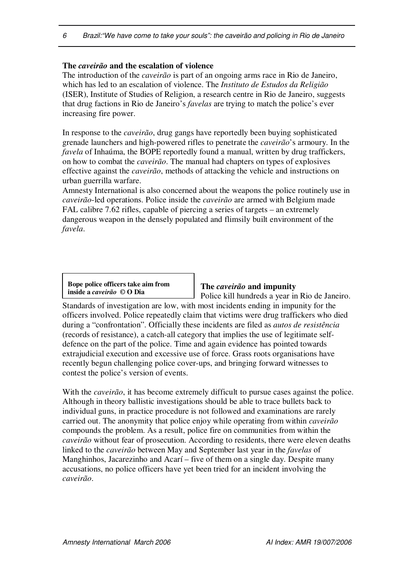## **The** *caveirão* **and the escalation of violence**

The introduction of the *caveirão* is part of an ongoing arms race in Rio de Janeiro, which has led to an escalation of violence. The *Instituto de Estudos da Religião* (ISER), Institute of Studies of Religion, a research centre in Rio de Janeiro, suggests that drug factions in Rio de Janeiro's *favelas* are trying to match the police's ever increasing fire power.

In response to the *caveirão*, drug gangs have reportedly been buying sophisticated grenade launchers and high-powered rifles to penetrate the *caveirão*'s armoury. In the *favela* of Inhaúma, the BOPE reportedly found a manual, written by drug traffickers, on how to combat the *caveirão*. The manual had chapters on types of explosives effective against the *caveirão*, methods of attacking the vehicle and instructions on urban guerrilla warfare.

Amnesty International is also concerned about the weapons the police routinely use in *caveirão*-led operations. Police inside the *caveirão* are armed with Belgium made FAL calibre 7.62 rifles, capable of piercing a series of targets – an extremely dangerous weapon in the densely populated and flimsily built environment of the *favela*.

**Bope police officers take aim from inside a** *caveirão* **© O Dia**

#### **The** *caveirão* **and impunity**

Police kill hundreds a year in Rio de Janeiro.

Standards of investigation are low, with most incidents ending in impunity for the officers involved. Police repeatedly claim that victims were drug traffickers who died during a "confrontation". Officially these incidents are filed as *autos de resistência* (records of resistance), a catch-all category that implies the use of legitimate selfdefence on the part of the police. Time and again evidence has pointed towards extrajudicial execution and excessive use of force. Grass roots organisations have recently begun challenging police cover-ups, and bringing forward witnesses to contest the police's version of events.

With the *caveirão*, it has become extremely difficult to pursue cases against the police. Although in theory ballistic investigations should be able to trace bullets back to individual guns, in practice procedure is not followed and examinations are rarely carried out. The anonymity that police enjoy while operating from within *caveirão* compounds the problem. As a result, police fire on communities from within the *caveirão* without fear of prosecution. According to residents, there were eleven deaths linked to the *caveirão* between May and September last year in the *favelas* of Manghinhos, Jacarezinho and Acarí – five of them on a single day. Despite many accusations, no police officers have yet been tried for an incident involving the *caveirão*.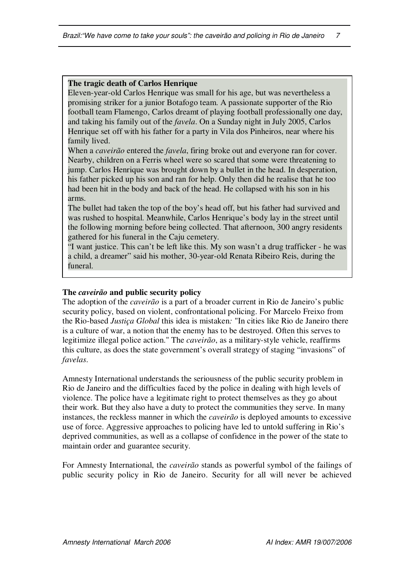#### **The tragic death of Carlos Henrique**

Eleven-year-old Carlos Henrique was small for his age, but was nevertheless a promising striker for a junior Botafogo team. A passionate supporter of the Rio football team Flamengo, Carlos dreamt of playing football professionally one day, and taking his family out of the *favela*. On a Sunday night in July 2005, Carlos Henrique set off with his father for a party in Vila dos Pinheiros, near where his family lived.

When a *caveirão* entered the *favela*, firing broke out and everyone ran for cover. Nearby, children on a Ferris wheel were so scared that some were threatening to jump. Carlos Henrique was brought down by a bullet in the head. In desperation, his father picked up his son and ran for help. Only then did he realise that he too had been hit in the body and back of the head. He collapsed with his son in his arms.

The bullet had taken the top of the boy's head off, but his father had survived and was rushed to hospital. Meanwhile, Carlos Henrique's body lay in the street until the following morning before being collected. That afternoon, 300 angry residents gathered for his funeral in the Caju cemetery.

"I want justice. This can't be left like this. My son wasn't a drug trafficker - he was a child, a dreamer" said his mother, 30-year-old Renata Ribeiro Reis, during the funeral.

#### **The** *caveirão* **and public security policy**

The adoption of the *caveirão* is a part of a broader current in Rio de Janeiro's public security policy, based on violent, confrontational policing. For Marcelo Freixo from the Rio-based *Justiça Global* this idea is mistaken*:* "In cities like Rio de Janeiro there is a culture of war, a notion that the enemy has to be destroyed. Often this serves to legitimize illegal police action." The *caveirão*, as a military-style vehicle, reaffirms this culture, as does the state government's overall strategy of staging "invasions" of *favelas*.

Amnesty International understands the seriousness of the public security problem in Rio de Janeiro and the difficulties faced by the police in dealing with high levels of violence. The police have a legitimate right to protect themselves as they go about their work. But they also have a duty to protect the communities they serve. In many instances, the reckless manner in which the *caveirão* is deployed amounts to excessive use of force. Aggressive approaches to policing have led to untold suffering in Rio's deprived communities, as well as a collapse of confidence in the power of the state to maintain order and guarantee security.

For Amnesty International, the *caveirão* stands as powerful symbol of the failings of public security policy in Rio de Janeiro. Security for all will never be achieved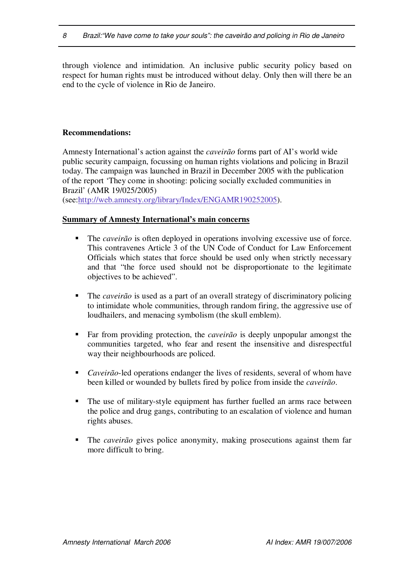through violence and intimidation. An inclusive public security policy based on respect for human rights must be introduced without delay. Only then will there be an end to the cycle of violence in Rio de Janeiro.

## **Recommendations:**

Amnesty International's action against the *caveirão* forms part of AI's world wide public security campaign, focussing on human rights violations and policing in Brazil today. The campaign was launched in Brazil in December 2005 with the publication of the report 'They come in shooting: policing socially excluded communities in Brazil' (AMR 19/025/2005)

(see:http://web.amnesty.org/library/Index/ENGAMR190252005).

#### **Summary of Amnesty International's main concerns**

- The *caveirão* is often deployed in operations involving excessive use of force. This contravenes Article 3 of the UN Code of Conduct for Law Enforcement Officials which states that force should be used only when strictly necessary and that "the force used should not be disproportionate to the legitimate objectives to be achieved".
- The *caveirão* is used as a part of an overall strategy of discriminatory policing to intimidate whole communities, through random firing, the aggressive use of loudhailers, and menacing symbolism (the skull emblem).
- Far from providing protection, the *caveirão* is deeply unpopular amongst the communities targeted, who fear and resent the insensitive and disrespectful way their neighbourhoods are policed.
- *Caveirão*-led operations endanger the lives of residents, several of whom have been killed or wounded by bullets fired by police from inside the *caveirão*.
- The use of military-style equipment has further fuelled an arms race between the police and drug gangs, contributing to an escalation of violence and human rights abuses.
- The *caveirão* gives police anonymity, making prosecutions against them far more difficult to bring.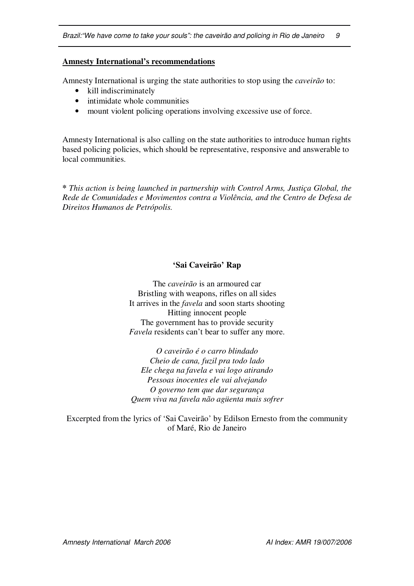## **Amnesty International's recommendations**

Amnesty International is urging the state authorities to stop using the *caveirão* to:

- kill indiscriminately
- intimidate whole communities
- mount violent policing operations involving excessive use of force.

Amnesty International is also calling on the state authorities to introduce human rights based policing policies, which should be representative, responsive and answerable to local communities.

**\*** *This action is being launched in partnership with Control Arms, Justiça Global, the Rede de Comunidades e Movimentos contra a Violência, and the Centro de Defesa de Direitos Humanos de Petrópolis.*

## **'Sai Caveirão' Rap**

The *caveirão* is an armoured car Bristling with weapons, rifles on all sides It arrives in the *favela* and soon starts shooting Hitting innocent people The government has to provide security *Favela* residents can't bear to suffer any more.

*O caveirão é o carro blindado Cheio de cana, fuzil pra todo lado Ele chega na favela e vai logo atirando Pessoas inocentes ele vai alvejando O governo tem que dar segurança Quem viva na favela não agüenta mais sofrer*

Excerpted from the lyrics of 'Sai Caveirão' by Edilson Ernesto from the community of Maré, Rio de Janeiro